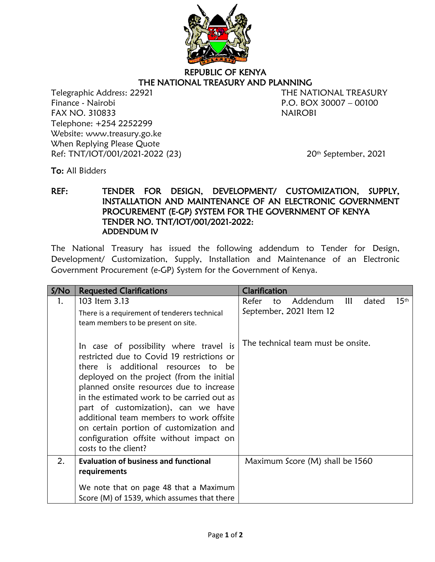

## REPUBLIC OF KENYA THE NATIONAL TREASURY AND PLANNING

Telegraphic Address: 22921 THE NATIONAL TREASURY Finance - Nairobi P.O. BOX 30007 – 00100 FAX NO. 310833 NAIROBI Telephone: +254 2252299 Website: www.treasury.go.ke When Replying Please Quote Ref: TNT/IOT/001/2021-2022 (23) 20<sup>th</sup> September, 2021

To: All Bidders

## REF: TENDER FOR DESIGN, DEVELOPMENT/ CUSTOMIZATION, SUPPLY, INSTALLATION AND MAINTENANCE OF AN ELECTRONIC GOVERNMENT PROCUREMENT (E-GP) SYSTEM FOR THE GOVERNMENT OF KENYA TENDER NO. TNT/IOT/001/2021-2022: ADDENDUM IV

The National Treasury has issued the following addendum to Tender for Design, Development/ Customization, Supply, Installation and Maintenance of an Electronic Government Procurement (e-GP) System for the Government of Kenya.

| S/N <sub>O</sub> | <b>Requested Clarifications</b>                                                                                                                                                                                                                                                                                                                                                                                                                                    | Clarification                                                                          |
|------------------|--------------------------------------------------------------------------------------------------------------------------------------------------------------------------------------------------------------------------------------------------------------------------------------------------------------------------------------------------------------------------------------------------------------------------------------------------------------------|----------------------------------------------------------------------------------------|
| 1.               | 103 Item 3.13<br>There is a requirement of tenderers technical<br>team members to be present on site.                                                                                                                                                                                                                                                                                                                                                              | $15$ <sup>th</sup><br>Addendum<br>Ш<br>Refer<br>to<br>dated<br>September, 2021 Item 12 |
|                  | In case of possibility where travel is<br>restricted due to Covid 19 restrictions or<br>there is additional resources to be<br>deployed on the project (from the initial<br>planned onsite resources due to increase<br>in the estimated work to be carried out as<br>part of customization), can we have<br>additional team members to work offsite<br>on certain portion of customization and<br>configuration offsite without impact on<br>costs to the client? | The technical team must be onsite.                                                     |
| 2.               | <b>Evaluation of business and functional</b><br>requirements                                                                                                                                                                                                                                                                                                                                                                                                       | Maximum Score (M) shall be 1560                                                        |
|                  | We note that on page 48 that a Maximum<br>Score (M) of 1539, which assumes that there                                                                                                                                                                                                                                                                                                                                                                              |                                                                                        |